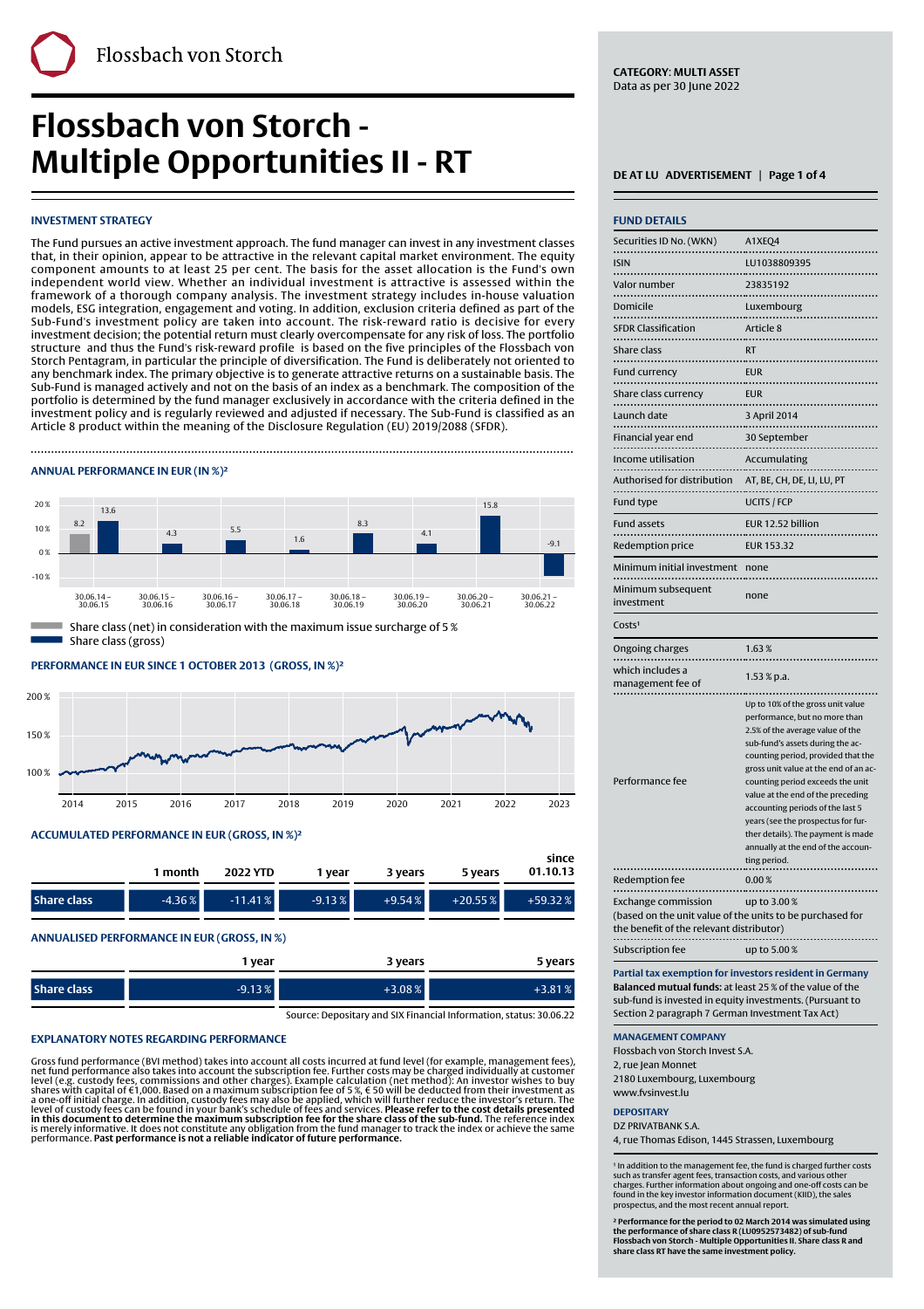### **INVESTMENT STRATEGY**





### **PERFORMANCE IN EUR SINCE 1 OCTOBER 2013' (GROSS, IN %)²**



### **ACCUMULATED PERFORMANCE IN EUR (GROSS, IN %)²**

|             | 1 month   | 2022 YTD  | I vear   | 3 vears  | 5 years   | since<br>01.10.13 |
|-------------|-----------|-----------|----------|----------|-----------|-------------------|
| Share class | $-4.36\%$ | $-11.41%$ | $-9.13%$ | $+9.54%$ | $+20.55%$ | $+59.32%$         |

### **ANNUALISED PERFORMANCE IN EUR (GROSS, IN %)**

|                    | I vear   | 3 years  | 5 years  |
|--------------------|----------|----------|----------|
| <b>Share class</b> | $-9.13%$ | $+3.08%$ | $+3.81%$ |

Source: Depositary and SIX Financial Information, status: 30.06.22

### **EXPLANATORY NOTES REGARDING PERFORMANCE**

Gross fund performance (BVI method) takes into account all costs incurred at fund level (for example, management fees),<br>net fund performance also takes into account the subscription fee. Further costs may be charged indiv

**CATEGORY**: **MULTI ASSET** Data as per 30 June 2022

| <b>INVESTMENT STRATEGY</b>                                                                                                                                                                                             |                                                      |                          |                          |                          |                          | <b>FUND DETAILS</b>                                                                     |                                                                                                           |
|------------------------------------------------------------------------------------------------------------------------------------------------------------------------------------------------------------------------|------------------------------------------------------|--------------------------|--------------------------|--------------------------|--------------------------|-----------------------------------------------------------------------------------------|-----------------------------------------------------------------------------------------------------------|
| The Fund pursues an active investment approach. The fund manager can invest in any investment classes                                                                                                                  |                                                      |                          |                          |                          |                          | Securities ID No. (WKN)                                                                 | A1XEQ4                                                                                                    |
| that, in their opinion, appear to be attractive in the relevant capital market environment. The equity<br>component amounts to at least 25 per cent. The basis for the asset allocation is the Fund's own              |                                                      |                          |                          |                          |                          | <b>ISIN</b>                                                                             | LU1038809395                                                                                              |
| independent world view. Whether an individual investment is attractive is assessed within the                                                                                                                          |                                                      |                          |                          |                          |                          | Valor number                                                                            | 23835192                                                                                                  |
| framework of a thorough company analysis. The investment strategy includes in-house valuation<br>models, ESG integration, engagement and voting. In addition, exclusion criteria defined as part of the                |                                                      |                          |                          |                          |                          | Domicile                                                                                | Luxembourg                                                                                                |
| Sub-Fund's investment policy are taken into account. The risk-reward ratio is decisive for every<br>investment decision; the potential return must clearly overcompensate for any risk of loss. The portfolio          |                                                      |                          |                          |                          |                          | <b>SFDR Classification</b>                                                              | Article 8                                                                                                 |
| structure and thus the Fund's risk-reward profile is based on the five principles of the Flossbach von                                                                                                                 |                                                      |                          |                          |                          |                          | Share class                                                                             | <b>RT</b>                                                                                                 |
| Storch Pentagram, in particular the principle of diversification. The Fund is deliberately not oriented to<br>any benchmark index. The primary objective is to generate attractive returns on a sustainable basis. The |                                                      |                          |                          |                          |                          | <br>Fund currency<br>.                                                                  | <b>EUR</b>                                                                                                |
| Sub-Fund is managed actively and not on the basis of an index as a benchmark. The composition of the<br>portfolio is determined by the fund manager exclusively in accordance with the criteria defined in the         |                                                      |                          |                          |                          |                          | Share class currency                                                                    | <b>EUR</b>                                                                                                |
| investment policy and is regularly reviewed and adjusted if necessary. The Sub-Fund is classified as an                                                                                                                |                                                      |                          |                          |                          |                          | Launch date                                                                             | 3 April 2014                                                                                              |
| Article 8 product within the meaning of the Disclosure Regulation (EU) 2019/2088 (SFDR).                                                                                                                               |                                                      |                          |                          |                          |                          | Financial year end                                                                      | 30 September                                                                                              |
|                                                                                                                                                                                                                        |                                                      |                          |                          |                          |                          | Income utilisation                                                                      | Accumulating                                                                                              |
| ANNUAL PERFORMANCE IN EUR (IN %)2                                                                                                                                                                                      |                                                      |                          |                          |                          |                          | Authorised for distribution<br>                                                         | AT, BE, CH, DE, LI, LU, PT                                                                                |
| 20%<br>13.6                                                                                                                                                                                                            |                                                      |                          |                          | 15.8                     |                          | Fund type                                                                               | <b>UCITS / FCP</b>                                                                                        |
| 8.2<br>10%<br>4.3                                                                                                                                                                                                      | 5.5                                                  | 8.3                      | 4.1                      |                          |                          | <b>Fund assets</b>                                                                      | EUR 12.52 billion                                                                                         |
| 0 <sup>2</sup>                                                                                                                                                                                                         |                                                      | 1.6                      |                          |                          | $-9.1$                   | Redemption price                                                                        | EUR 153.32                                                                                                |
| $-10%$                                                                                                                                                                                                                 |                                                      |                          |                          |                          |                          | Minimum initial investment none                                                         |                                                                                                           |
| $30.06.14 -$<br>$30.06.15 -$<br>30.06.15<br>30.06.16                                                                                                                                                                   | $30.06.16 -$<br>$30.06.17 -$<br>30.06.17<br>30.06.18 | $30.06.18 -$<br>30.06.19 | $30.06.19 -$<br>30.06.20 | $30.06.20 -$<br>30.06.21 | $30.06.21 -$<br>30.06.22 | Minimum subsequent<br>investment                                                        | none                                                                                                      |
| Share class (net) in consideration with the maximum issue surcharge of 5 %                                                                                                                                             |                                                      |                          |                          |                          |                          | Costs <sup>1</sup>                                                                      |                                                                                                           |
| Share class (gross)                                                                                                                                                                                                    |                                                      |                          |                          |                          |                          | Ongoing charges                                                                         | 1.63%                                                                                                     |
| PERFORMANCE IN EUR SINCE 1 OCTOBER 2013 (GROSS, IN %)2                                                                                                                                                                 |                                                      |                          |                          |                          |                          | which includes a<br>management fee of                                                   | $1.53\%$ p.a.                                                                                             |
| 00%                                                                                                                                                                                                                    |                                                      |                          |                          |                          |                          |                                                                                         | Up to 10% of the gross unit value                                                                         |
|                                                                                                                                                                                                                        |                                                      |                          |                          |                          |                          |                                                                                         | performance, but no more than<br>2.5% of the average value of the                                         |
| 50%                                                                                                                                                                                                                    |                                                      |                          |                          |                          |                          |                                                                                         | sub-fund's assets during the ac-                                                                          |
| 00%                                                                                                                                                                                                                    |                                                      |                          |                          |                          |                          |                                                                                         | counting period, provided that the<br>gross unit value at the end of an ac-                               |
| 2014<br>2015<br>2016                                                                                                                                                                                                   | 2017                                                 | 2018<br>2019             | 2020                     | 2021<br>2022             | 2023                     | Performance fee                                                                         | counting period exceeds the unit<br>value at the end of the preceding<br>accounting periods of the last 5 |
|                                                                                                                                                                                                                        |                                                      |                          |                          |                          |                          |                                                                                         | years (see the prospectus for fur-                                                                        |
| ACCUMULATED PERFORMANCE IN EUR (GROSS, IN %) <sup>2</sup>                                                                                                                                                              |                                                      |                          |                          |                          |                          |                                                                                         | ther details). The payment is made<br>annually at the end of the accoun-                                  |
| 1 month                                                                                                                                                                                                                | <b>2022 YTD</b>                                      | 1 year                   |                          |                          | since<br>01.10.13        |                                                                                         | ting period.                                                                                              |
|                                                                                                                                                                                                                        |                                                      |                          | 3 years                  | 5 years                  |                          | <b>Redemption fee</b>                                                                   | 0.00%                                                                                                     |
| $-4.36%$<br><b>Share class</b>                                                                                                                                                                                         | $-11.41%$                                            | $-9.13%$                 | $+9.54%$                 | $+20.55%$                | +59.32%                  | <b>Exchange commission</b><br>(based on the unit value of the units to be purchased for | up to 3.00%                                                                                               |
| ANNUALISED PERFORMANCE IN EUR (GROSS, IN %)                                                                                                                                                                            |                                                      |                          |                          |                          |                          | the benefit of the relevant distributor)                                                |                                                                                                           |
|                                                                                                                                                                                                                        | 1 vear                                               |                          | 3 vears                  |                          | 5 vears                  | Subscription fee                                                                        | up to 5.00%                                                                                               |

**Partial tax exemption for investors resident in Germany Balanced mutual funds:** at least 25 % of the value of the sub-fund is invested in equity investments. (Pursuant to Section 2 paragraph 7 German Investment Tax Act)

### **MANAGEMENT COMPANY**

Flossbach von Storch Invest S.A. 2, rue Jean Monnet

2180 Luxembourg, Luxembourg

## www.fvsinvest.lu

**DEPOSITARY**

DZ PRIVATBANK S.A. 4, rue Thomas Edison, 1445 Strassen, Luxembourg

<sup>s</sup> In addition to the management fee, the fund is charged further costs<br>such as transfer agent fees, transaction costs, and various other<br>charges. Further information about ongoing and one-off costs can be<br>found in the ke

<sup>2</sup> Performance for the period to 02 March 2014 was simulated using<br>the performance of share class R (LU0952573482) of sub-fund<br>Flossbach von Storch - Multiple Opportunities II. Share class R and<br>share class RT have the sa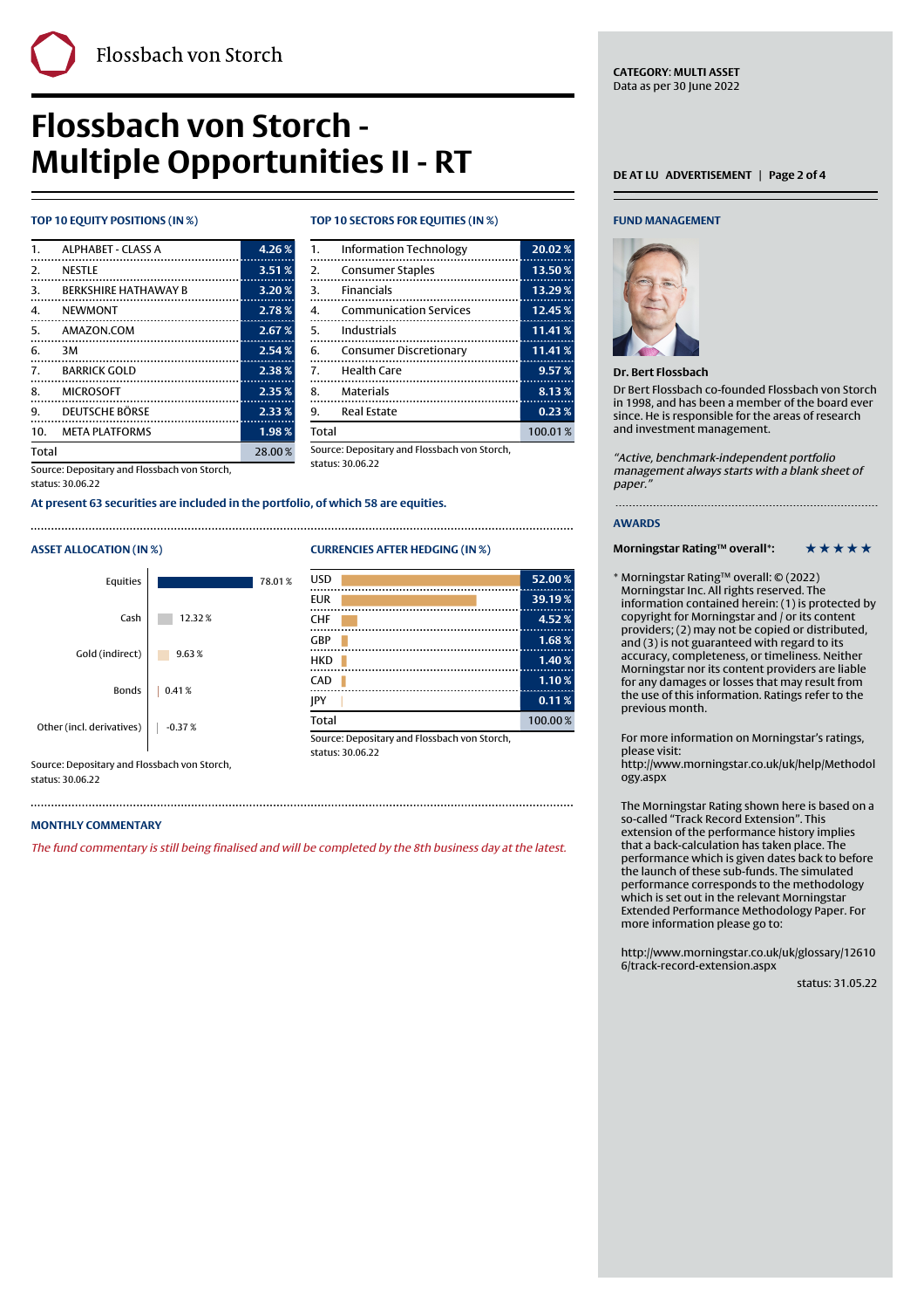| 1.    | <b>ALPHABET - CLASS A</b>          | 4.26%  |
|-------|------------------------------------|--------|
| 2.    | <b>NESTLE</b>                      | 3.51%  |
| 3.    | <b><i>RERKSHIRE HATHAWAY B</i></b> | 3.20%  |
| 4.    | <b>NEWMONT</b>                     | 2.78%  |
| 5.    | AMAZON.COM                         | 2.67%  |
| 6.    | ЗM                                 | 2.54%  |
|       | 7. BARRICK GOLD                    | 2.38%  |
|       | 8. MICROSOFT                       | 2.35%  |
| 9.    | <b>DEUTSCHE BÖRSE</b>              | 2.33%  |
|       | 10. META PLATFORMS                 | 1.98%  |
| Total |                                    | 28.00% |

**TOP 10 EQUITY POSITIONS (IN %) TOP 10 SECTORS FOR EQUITIES (IN %)**

Finally, the contract of the contract of the contract of the contract of the contract of the contract of the c

|                | 1. Information Technology     | 20.02%    |
|----------------|-------------------------------|-----------|
|                | 2. Consumer Staples           | $13.50\%$ |
| 3.             | Financials                    | 13.29%    |
| 4.             | <b>Communication Services</b> | 12.45%    |
| 5.             | Industrials                   | 11.41%    |
|                | 6. Consumer Discretionary     | 11.41%    |
| 7 <sup>1</sup> | <b>Health Care</b>            | 9.57%     |
|                | 8. Materials                  | 8.13%     |
| 9.             | <b>Real Estate</b>            | 0.23%     |
| Total          |                               | 100.01%   |
|                |                               |           |

Source: Depositary and Flossbach von Storch, status: 30.06.22

Source: Depositary and Flossbach von Storch, status: 30.06.22

**At present 63 securities are included in the portfolio, of which 58 are equities.**

## **ASSET ALLOCATION (IN %) CURRENCIES AFTER HEDGING (IN %)**

| Equities                  |          | 78.01% |
|---------------------------|----------|--------|
| Cash                      | 12.32%   |        |
| Gold (indirect)           | 9.63%    |        |
| <b>Bonds</b>              | 0.41%    |        |
| Other (incl. derivatives) | $-0.37%$ |        |

Source: Depositary and Flossbach von Storch, status: 30.06.22

### **MONTHLY COMMENTARY**

The fund commentary is still being finalised and will be completed by the 8th business day at the latest.

### **FUND MANAGEMENT**



### **Dr. Bert Flossbach**

Dr Bert Flossbach co-founded Flossbach von Storch in 1998, and has been a member of the board ever since. He is responsible for the areas of research and investment management.

"Active, benchmark-independent portfolio management always starts with a blank sheet of paper.

### **AWARDS**

**Morningstar Rating™ overall\*:** \* \* \* \* \* \*

\* Morningstar Rating™ overall: © (2022) Morningstar Inc. All rights reserved. The information contained herein: (1) is protected by copyright for Morningstar and / or its content providers; (2) may not be copied or distributed, and (3) is not guaranteed with regard to its accuracy, completeness, or timeliness. Neither Morningstar nor its content providers are liable for any damages or losses that may result from the use of this information. Ratings refer to the previous month.

For more information on Morningstar's ratings, please visit:

[http://www.morningstar.co.uk/uk/help/Methodol](http://www.morningstar.co.uk/uk/help/Methodology.aspx) [ogy.aspx](http://www.morningstar.co.uk/uk/help/Methodology.aspx)

The Morningstar Rating shown here is based on a so-called "Track Record Extension". This extension of the performance history implies that a back-calculation has taken place. The performance which is given dates back to before the launch of these sub-funds. The simulated performance corresponds to the methodology which is set out in the relevant Morningstar Extended Performance Methodology Paper. For more information please go to:

[http://www.morningstar.co.uk/uk/glossary/12610](http://www.morningstar.co.uk/uk/glossary/126106/track-record-extension.aspx) [6/track-record-extension.aspx](http://www.morningstar.co.uk/uk/glossary/126106/track-record-extension.aspx)

status: 31.05.22

## 

| USD                                         | 52.00%  |
|---------------------------------------------|---------|
| <b>EUR</b>                                  | 39.19%  |
| CHF                                         | 4.52%   |
| GBP                                         | 1.68%   |
| <b>HKD</b>                                  | 1.40%   |
| CAD                                         | 1.10%   |
| <b>IPY</b>                                  | 0.11%   |
| <b>Total</b>                                | 100.00% |
| Course: Depositant and Flossbach von Storsb |         |

Source: Depositary and Flossbach von Storch, status: 30.06.22

**CATEGORY**: **MULTI ASSET** Data as per 30 June 2022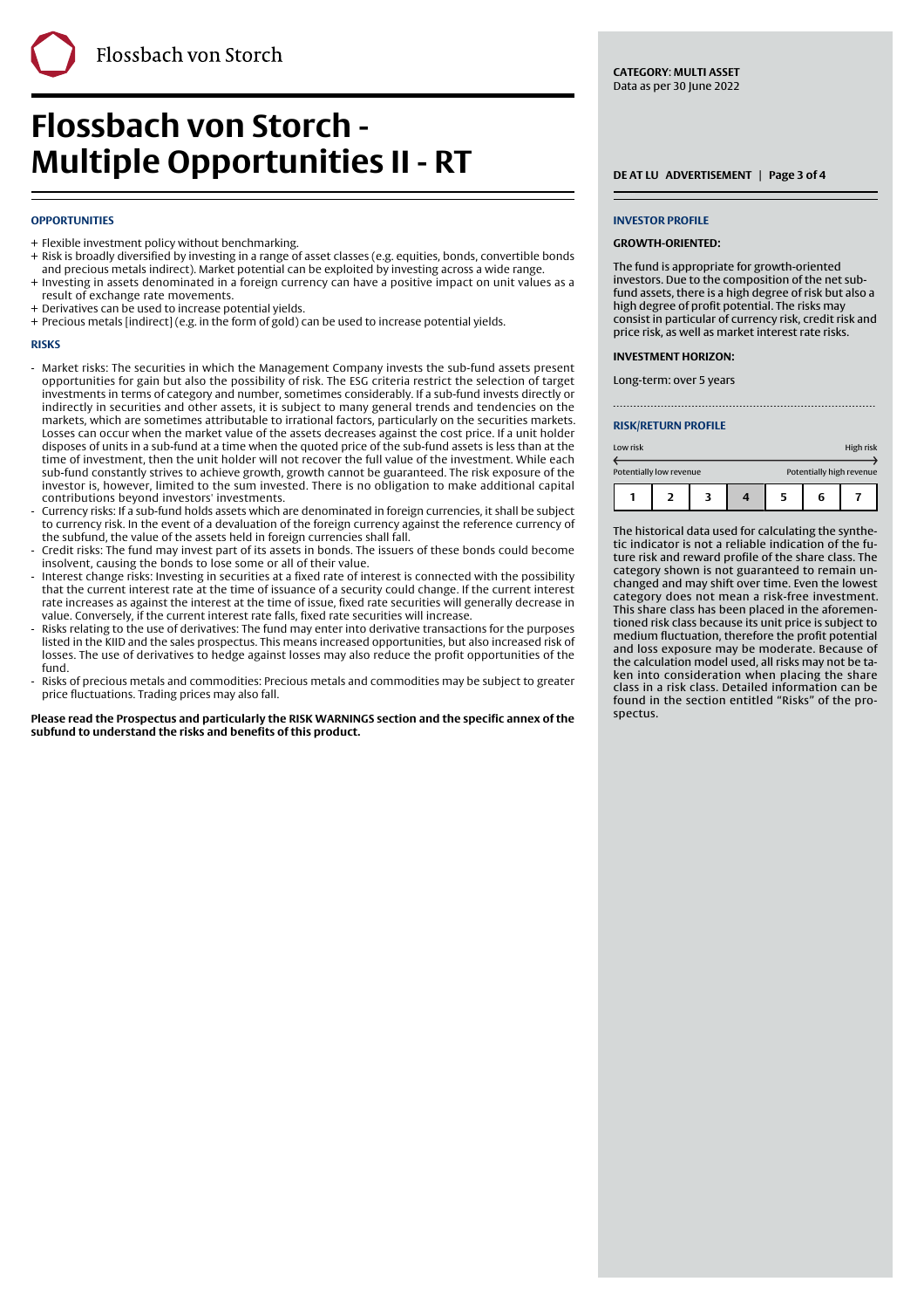### **OPPORTUNITIES**

- + Flexible investment policy without benchmarking.
- + Risk is broadly diversified by investing in a range of asset classes (e.g. equities, bonds, convertible bonds and precious metals indirect). Market potential can be exploited by investing across a wide range.

Finally, the contract of the contract of the contract of the contract of the contract of the contract of the c

- + Investing in assets denominated in a foreign currency can have a positive impact on unit values as a result of exchange rate movements.
- + Derivatives can be used to increase potential yields.
- + Precious metals [indirect] (e.g. in the form of gold) can be used to increase potential yields.

### **RISKS**

- Market risks: The securities in which the Management Company invests the sub-fund assets present opportunities for gain but also the possibility of risk. The ESG criteria restrict the selection of target investments in terms of category and number, sometimes considerably. If a sub-fund invests directly or indirectly in securities and other assets, it is subject to many general trends and tendencies on the markets, which are sometimes attributable to irrational factors, particularly on the securities markets. Losses can occur when the market value of the assets decreases against the cost price. If a unit holder disposes of units in a sub-fund at a time when the quoted price of the sub-fund assets is less than at the time of investment, then the unit holder will not recover the full value of the investment. While each sub-fund constantly strives to achieve growth, growth cannot be guaranteed. The risk exposure of the investor is, however, limited to the sum invested. There is no obligation to make additional capital contributions beyond investors' investments. -
- Currency risks: If a sub-fund holds assets which are denominated in foreign currencies, it shall be subject to currency risk. In the event of a devaluation of the foreign currency against the reference currency of the subfund, the value of the assets held in foreign currencies shall fall. -
- Credit risks: The fund may invest part of its assets in bonds. The issuers of these bonds could become insolvent, causing the bonds to lose some or all of their value. -
- Interest change risks: Investing in securities at a fixed rate of interest is connected with the possibility that the current interest rate at the time of issuance of a security could change. If the current interest rate increases as against the interest at the time of issue, fixed rate securities will generally decrease in value. Conversely, if the current interest rate falls, fixed rate securities will increase. -
- Risks relating to the use of derivatives: The fund may enter into derivative transactions for the purposes listed in the KIID and the sales prospectus. This means increased opportunities, but also increased risk of losses. The use of derivatives to hedge against losses may also reduce the profit opportunities of the fund. -
- Risks of precious metals and commodities: Precious metals and commodities may be subject to greater price fluctuations. Trading prices may also fall. -

**Please read the Prospectus and particularly the RISK WARNINGS section and the specific annex of the subfund to understand the risks and benefits of this product.**

**CATEGORY**: **MULTI ASSET** Data as per 30 June 2022

### **INVESTOR PROFILE**

### **GROWTH-ORIENTED:**

The fund is appropriate for growth-oriented investors. Due to the composition of the net subfund assets, there is a high degree of risk but also a high degree of profit potential. The risks may consist in particular of currency risk, credit risk and price risk, as well as market interest rate risks.

### **INVESTMENT HORIZON:**

Long-term: over 5 years

### **RISK/RETURN PROFILE**

| Low risk                |  |  |  |   | High risk                |  |
|-------------------------|--|--|--|---|--------------------------|--|
| Potentially low revenue |  |  |  |   | Potentially high revenue |  |
|                         |  |  |  | 5 | 6                        |  |

The historical data used for calculating the synthetic indicator is not a reliable indication of the future risk and reward profile of the share class. The category shown is not guaranteed to remain unchanged and may shift over time. Even the lowest category does not mean a risk-free investment. This share class has been placed in the aforementioned risk class because its unit price is subject to medium fluctuation, therefore the profit potential and loss exposure may be moderate. Because of the calculation model used, all risks may not be taken into consideration when placing the share class in a risk class. Detailed information can be found in the section entitled "Risks" of the prospectus.